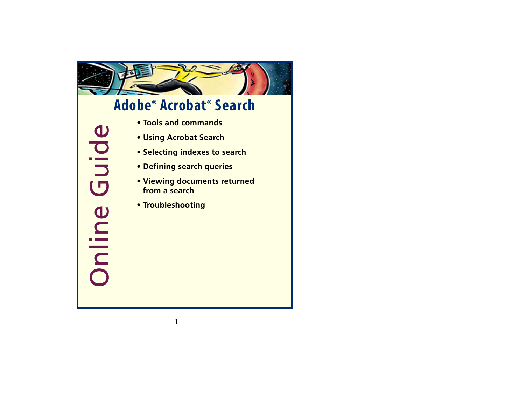

# **Adobe ® Acrobat ® Search**

• [Tools and commands](#page-1-0)<br>• [Using Acrobat Search](#page-2-0)<br>• [Selecting indexes to search](#page-11-0)<br>• [Defining search queries](#page-14-0)<br>• Viewing documents returned<br>• Troubleshooting<br>• Troubleshooting

- 
- 
- 
- 
- 
-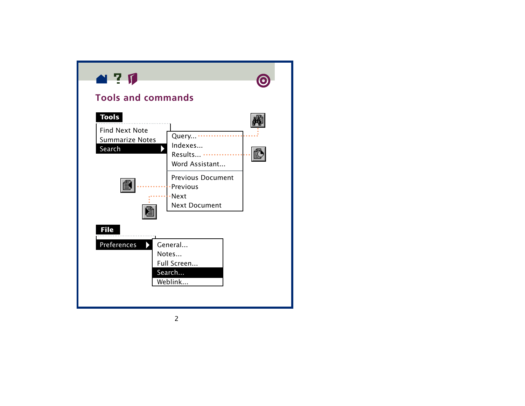<span id="page-1-0"></span>



## **Tools and commands**



Full Screen...

Search...

Weblink...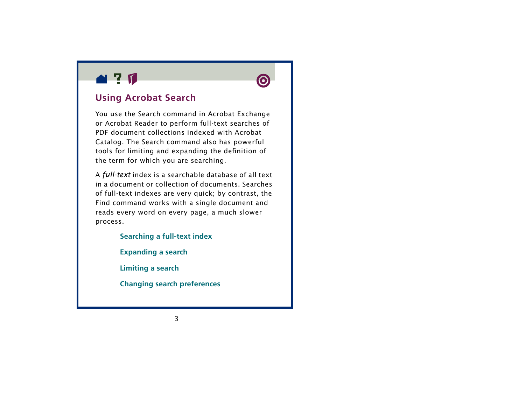<span id="page-2-0"></span>



### **Using Acrobat Search**

You use the Search command in Acrobat Exchange or Acrobat Reader to perform full-text searches of PDF document collections indexed with Acrobat Catalog. The Search command also has powerful tools for limiting and expanding the definition of the term for which you are searching.

<sup>A</sup>*full-text* index is a searchable database of all text in a document or collection of documents. Searches of full-text indexes are very quick; by contrast, the Find command works with a single document and reads every word on every page, a much slower process.

> **[Searching a full-text index](#page-3-0) [Expanding a search](#page-6-0) [Limiting a search](#page-7-0) [Changing search preferences](#page-9-0)**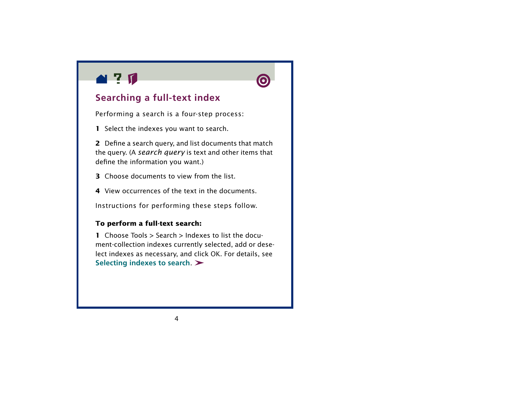<span id="page-3-0"></span>



### **Searching a full-text index**

Performing a search is a four-step process:

**1** Select the indexes you want to search.

**2** Define a search query, and list documents that match the query. (A *search query* is text and other items that define the information you want.)

- **3** Choose documents to view from the list.
- **4** View occurrences of the text in the documents.

Instructions for performing these steps follow.

#### **To perform a full-text search:**

**1** Choose Tools > Search > Indexes to list the document-collection indexes currently selected, add or deselect indexes as necessary, and click OK. For details, see **[Selecting indexes to search](#page-11-0)**.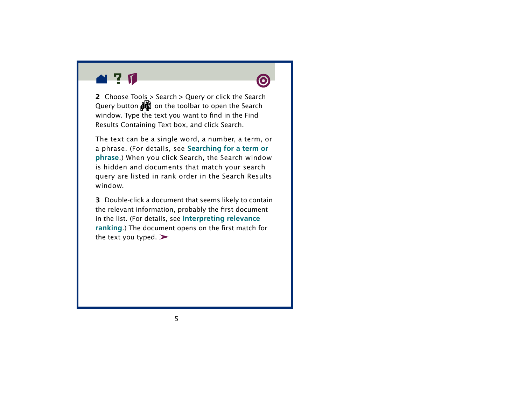



**2** Choose Tools > Search > Query or click the Search Query button  $\frac{1}{\sqrt{2}}$  on the toolbar to open the Search window. Type the text you want to find in the Find Results Containing Text box, and click Search.

The text can be a single word, a number, a term, or a phrase. (For details, see **[Searching for a term or](#page-15-0)  [phrase](#page-15-0)**.) When you click Search, the Search window is hidden and documents that match your search query are listed in rank order in the Search Results window.

**3** Double-click a document that seems likely to contain the relevant information, probably the first document in the list. (For details, see **[Interpreting relevance](#page-64-0)  [ranking](#page-64-0)**.) The document opens on the first match for the text you typed.  $\blacktriangleright$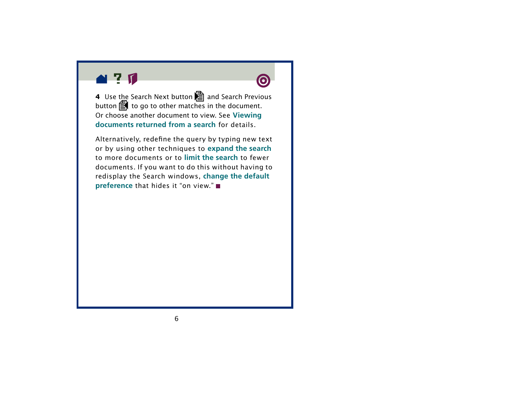



**4** Use the Search Next button **a** and Search Previous button  $\bar{\Xi}$  to go to other matches in the document. Or choose another document to view. See **[Viewing](#page-62-0)  [documents returned from a search](#page-62-0)** for details.

Alternatively, redefine the query by typing new text or by using other techniques to **[expand the search](#page-6-0)** to more documents or to **[limit the search](#page-7-0)** to fewer documents. If you want to do this without having to redisplay the Search windows, **[change the default](#page-9-0)  [preference](#page-9-0)** that hides it "on view." ■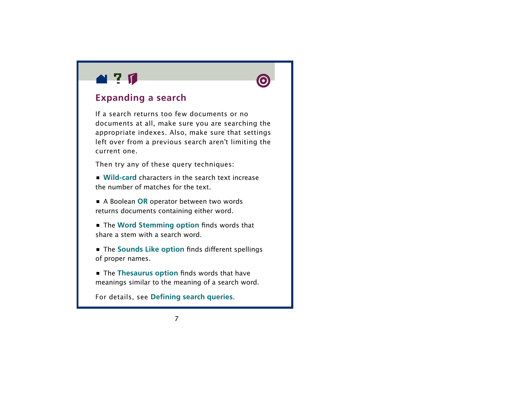<span id="page-6-0"></span>



### **Expanding a search**

If a search returns too few documents or no documents at all, make sure you are searching the appropriate indexes. Also, make sure that settings left over from a previous search aren't limiting the current one.

Then try any of these query techniques:

**•** [Wild-car](#page-24-0)d characters in the search text increase the number of matches for the text.

**•** A Boolean **[OR](#page-56-0)** operator between two words returns documents containing either word.

**•** The **[Word Stemming option](#page-44-0)** finds words that share a stem with a search word.

**•** The **[Sounds Like option](#page-47-0)** finds different spellings of proper names.

**•** The **[Thesaurus option](#page-46-0)** finds words that have meanings similar to the meaning of a search word.

For details, see **[Defining search queries](#page-14-0)**.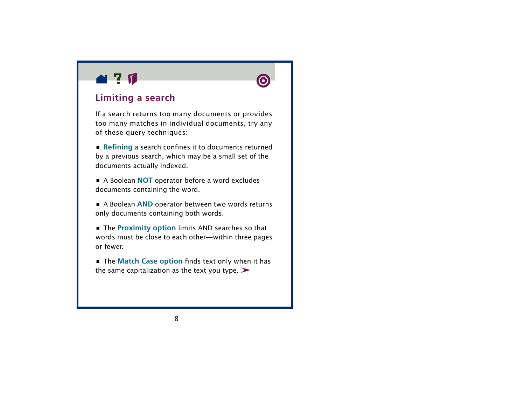<span id="page-7-0"></span>



### **Limiting a search**

If a search returns too many documents or provides too many matches in individual documents, try any of these query techniques:

**• [Refining](#page-26-0)** a search confines it to documents returned by a previous search, which may be a small set of the documents actually indexed.

**•** A Boolean **[NOT](#page-57-0)** operator before a word excludes documents containing the word.

**•** A Boolean **[AND](#page-55-0)** operator between two words returns only documents containing both words.

**•** The **[Proximity option](#page-50-0)** limits AND searches so that words must be close to each other —within three pages or fewer.

**•** The **[Match Case option](#page-49-0)** finds text only when it has the same capitalization as the text you type.  $\blacktriangleright$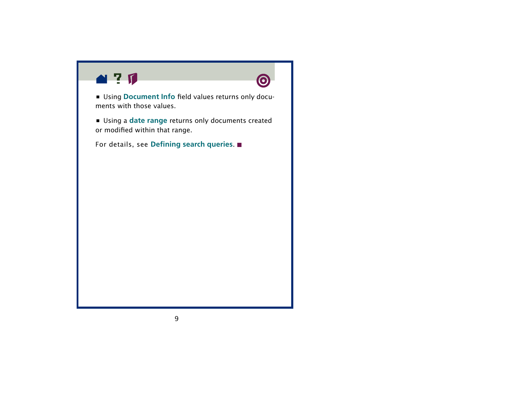

**•** Using **[Document Info](#page-28-0)** field values returns only documents with those values.

**•** Using a **[date range](#page-36-0)** returns only documents created or modified within that range.

For details, see **[Defining search queries](#page-14-0)**.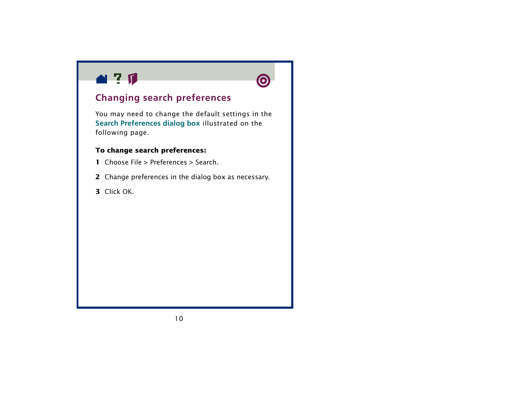<span id="page-9-1"></span><span id="page-9-0"></span>



### **Changing search preferences**

You may need to change the default settings in the **[Search Preferences dialog box](#page-10-0)** illustrated on the following page.

#### **To change search preferences:**

- **1** Choose File > Preferences > Search.
- **2** Change preferences in the dialog box as necessary.
- **3** Click OK.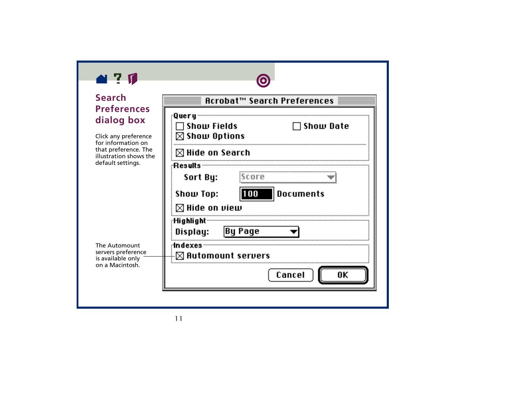<span id="page-10-0"></span>



### **Search Preferences dialog box**

Click any preference for information on that preference. The illustration shows the default settings.

The Automount servers preference is available only on a Macintosh.

| Acrobat™ Search Preferences                                |                               |  |
|------------------------------------------------------------|-------------------------------|--|
| :Query<br>$\sqcap$ Show Fields<br>$\boxtimes$ Show Options | $\Box$ Show Date              |  |
| $\boxtimes$ Hide on Search                                 |                               |  |
| :Results<br>Sort By:                                       | score                         |  |
| Show Top:                                                  | 100   Documents               |  |
| $\boxtimes$ Hide on view                                   |                               |  |
| : Highlight<br>Display:                                    | By Page                       |  |
| dndexes:                                                   | $\boxtimes$ Automount servers |  |
|                                                            | Cancel                        |  |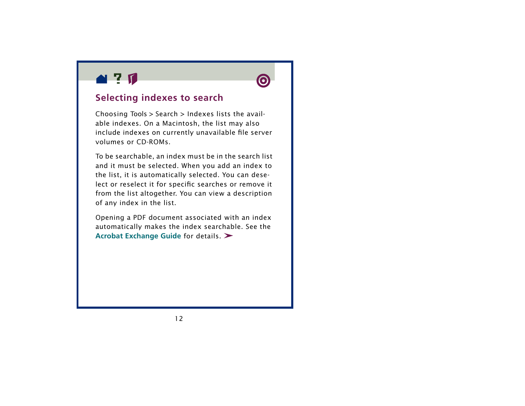<span id="page-11-0"></span>



### **Selecting indexes to search**

Choosing Tools > Search > Indexes lists the available indexes. On a Macintosh, the list may also include indexes on currently unavailable file server volumes or CD-ROMs.

To be searchable, an index must be in the search list and it must be selected. When you add an index to the list, it is automatically selected. You can deselect or reselect it for specific searches or remove it from the list altogether. You can view a description of any index in the list.

Opening a PDF document associated with an index automatically makes the index searchable. See the **[Acrobat Exchange Guide](#page-108-0)** for details.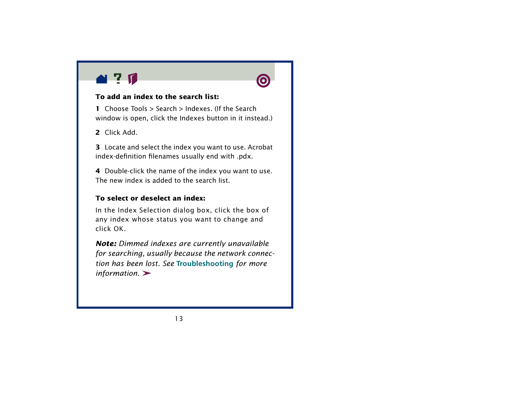



#### **To add an index to the search list:**

**1** Choose Tools > Search > Indexes. (If the Search window is open, click the Indexes button in it instead.)

**2** Click Add.

**3** Locate and select the index you want to use. Acrobat index-definition filenames usually end with .pdx.

**4** Double-click the name of the index you want to use. The new index is added to the search list.

#### **To select or deselect an index:**

In the Index Selection dialog box, click the box of any index whose status you want to change and click OK.

*Note: Dimmed indexes are currently unavailable for searching, usually because the network connection has been lost. See*  **Troubleshooting** *for more information.*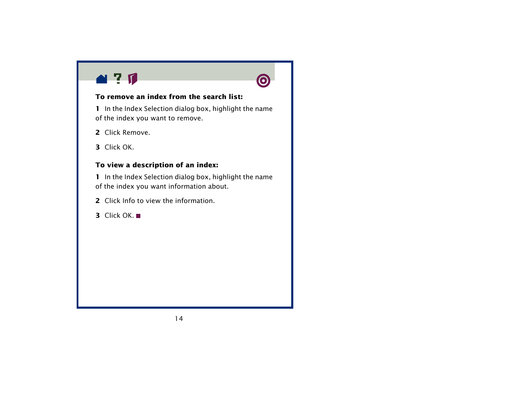



#### **To remove an index from the search list:**

**1** In the Index Selection dialog box, highlight the name of the index you want to remove.

- **2** Click Remove.
- **3** Click OK.

#### **To view a description of an index:**

**1** In the Index Selection dialog box, highlight the name of the index you want information about.

- **2** Click Info to view the information.
- **3** Click OK.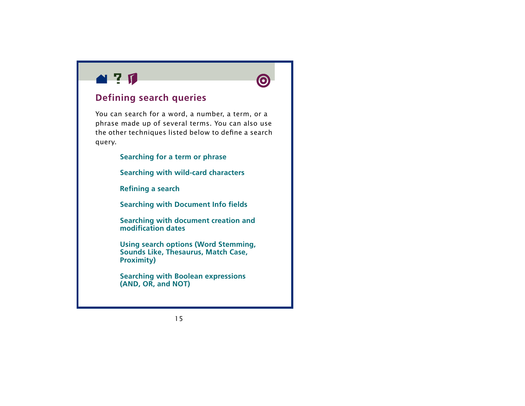<span id="page-14-0"></span>



### **Defining search queries**

You can search for a word, a number, a term, or a phrase made up of several terms. You can also use the other techniques listed below to define a search query.

**[Searching for a term or phrase](#page-15-0)**

**[Searching with wild-card characters](#page-24-0)**

**[Refining a search](#page-26-0)**

**[Searching with Document Info fields](#page-28-0)**

**[Searching with document creation and](#page-36-0)  [modification dates](#page-36-0)**

**[Using search options \(Word Stemming,](#page-41-0)  Sounds Like, Thesaurus, Match Case, Proximity)**

**[Searching with Boolean expressions](#page-54-0)  [\(AND, OR, and NOT\)](#page-54-0)**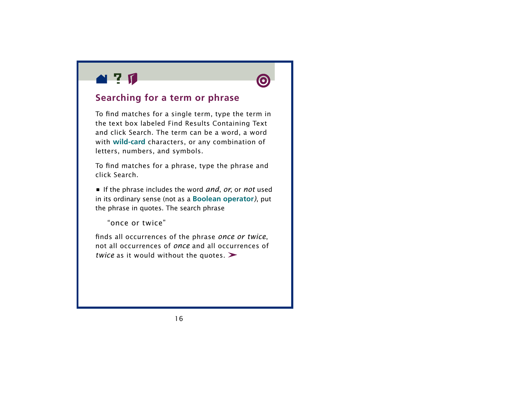<span id="page-15-0"></span>



### **Searching for a term or phrase**

To find matches for a single term, type the term in the text box labeled Find Results Containing Text and click Search. The term can be a word, a word with **[wild-car](#page-24-0) d** characters, or any combination of letters, numbers, and symbols.

To find matches for a phrase, type the phrase and click Search.

**•** If the phrase includes the word *and*, *or*, or *not* used in its ordinary sense (not as a **[Boolean operator](#page-54-0)***)*, put the phrase in quotes. The search phrase

"once or twice"

finds all occurrences of the phrase *once or twice*, not all occurrences of *once* and all occurrences of *twice* as it would without the quotes.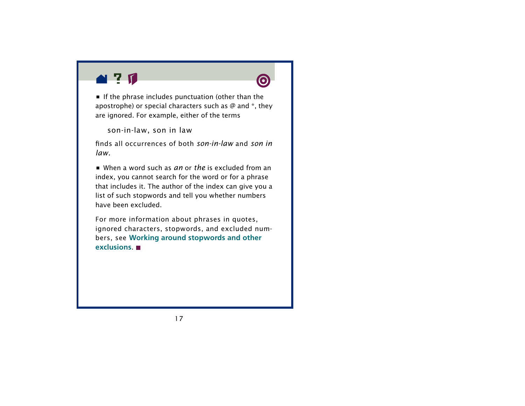



**•** If the phrase includes punctuation (other than the apostrophe) or special characters such as  $\varnothing$  and  $*$ , they are ignored. For example, either of the terms

son-in-law, son in law

finds all occurrences of both *son-in-law* and *son in law.*

**•** When a word such as *an* or *the* is excluded from an index, you cannot search for the word or for a phrase that includes it. The author of the index can give you a list of such stopwords and tell you whether numbers have been excluded.

For more information about phrases in quotes, ignored characters, stopwords, and excluded numbers, see **[Working around stopwords and other](#page-17-0)  [exclusions](#page-17-0)**.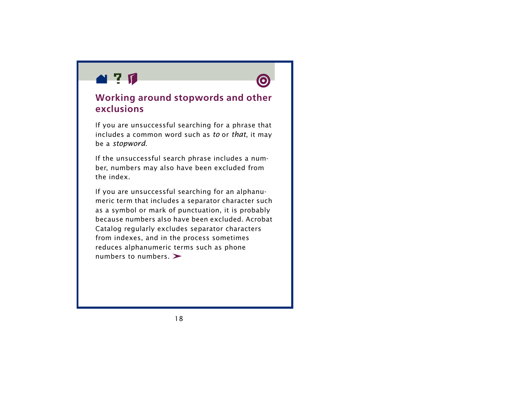<span id="page-17-0"></span>



### **Working around stopwords and other exclusions**

If you are unsuccessful searching for a phrase that includes a common word such as *to* or *that*, it may be a *stopword*.

If the unsuccessful search phrase includes a number, numbers may also have been excluded from the index.

If you are unsuccessful searching for an alphanumeric term that includes a separator character such as a symbol or mark of punctuation, it is probably because numbers also have been excluded. Acrobat Catalog regularly excludes separator characters from indexes, and in the process sometimes reduces alphanumeric terms such as phone numbers to numbers.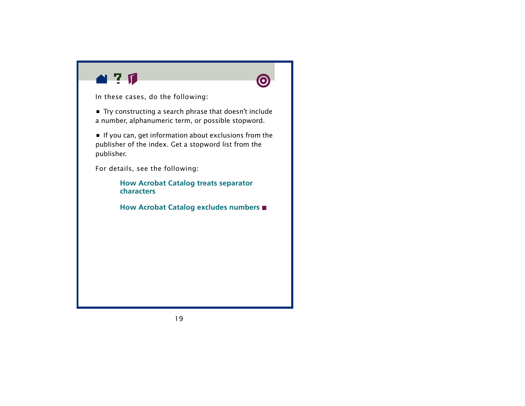



In these cases, do the following:

**•** Try constructing a search phrase that doesn't include a number, alphanumeric term, or possible stopword.

**•** If you can, get information about exclusions from the publisher of the index. Get a stopword list from the publisher.

For details, see the following:

**[How Acrobat Catalog treats separator](#page-19-0)  [characters](#page-19-0)**

**[How Acrobat Catalog excludes numbers](#page-22-0)**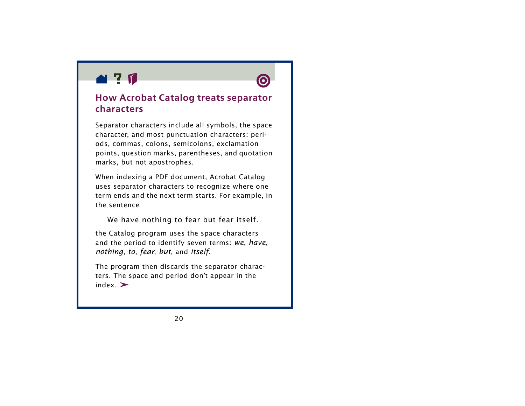<span id="page-19-0"></span>



### **How Acrobat Catalog treats separator characters**

Separator characters include all symbols, the space character, and most punctuation characters: periods, commas, colons, semicolons, exclamation points, question marks, parentheses, and quotation marks, but not apostrophes.

When indexing a PDF document, Acrobat Catalog uses separator characters to recognize where one term ends and the next term starts. For example, in the sentence

We have nothing to fear but fear itself.

the Catalog program uses the space characters and the period to identify seven terms: *we*, *have*, *nothing*, *to*, *fear*, *but*, and *itself*.

The program then discards the separator characters. The space and period don't appear in the  $index.$   $\geq$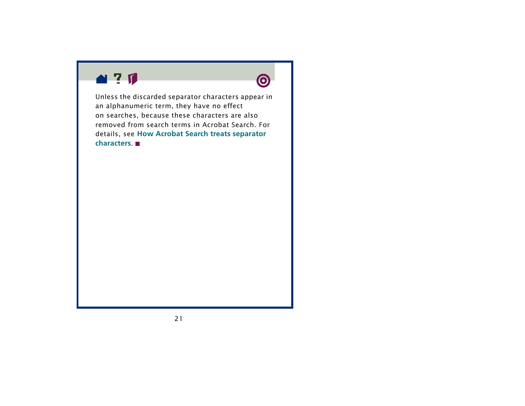



Unless the discarded separator characters appear in an alphanumeric term, they have no effect on searches, because these characters are also removed from search terms in Acrobat Search. For details, see **[How Acrobat Search treats separator](#page-21-0)  [characters](#page-21-0)**.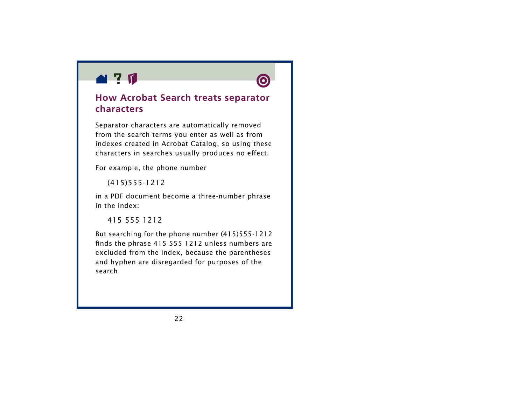<span id="page-21-0"></span>



### **How Acrobat Search treats separator characters**

Separator characters are automatically removed from the search terms you enter as well as from indexes created in Acrobat Catalog, so using these characters in searches usually produces no effect.

For example, the phone number

(415)555-1212

in a PDF document become a three-number phrase in the index:

415 555 1212

But searching for the phone number (415)555-1212 finds the phrase 415 555 1212 unless numbers are excluded from the index, because the parentheses and hyphen are disregarded for purposes of the search.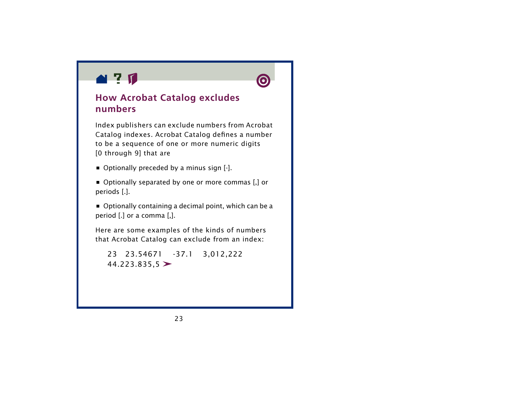<span id="page-22-0"></span>



### **How Acrobat Catalog excludes numbers**

Index publishers can exclude numbers from Acrobat Catalog indexes. Acrobat Catalog defines a number to be a sequence of one or more numeric digits [0 through 9] that are

- **•** Optionally preceded by a minus sign [-].
- **•** Optionally separated by one or more commas [,] or periods [.].
- **•** Optionally containing a decimal point, which can be a period [.] or a comma [,].

Here are some examples of the kinds of numbers that Acrobat Catalog can exclude from an index:

23 23.54671 -37.1 3,012,222  $44.223.835.5$  >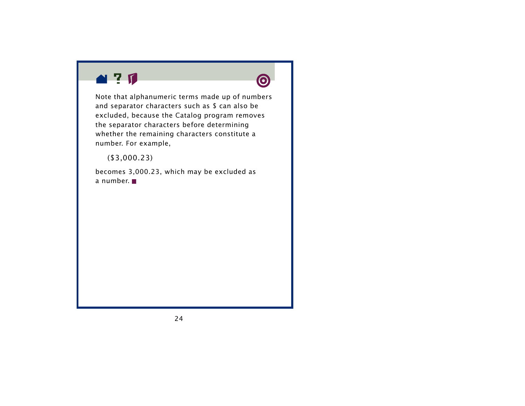



Note that alphanumeric terms made up of numbers and separator characters such as \$ can also be excluded, because the Catalog program removes the separator characters before determining whether the remaining characters constitute a number. For example,

(\$3,000.23)

becomes 3,000.23, which may be excluded as a number.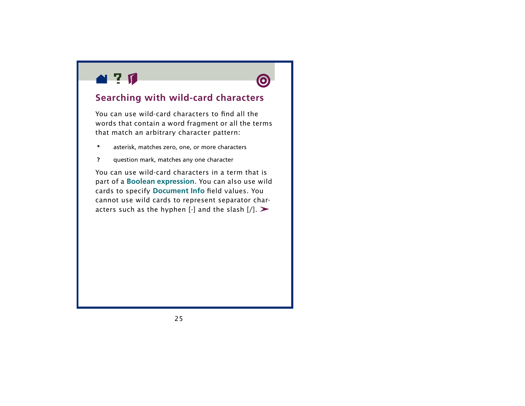<span id="page-24-0"></span>



### **Searching with wild-card characters**

You can use wild-card characters to find all the words that contain a word fragment or all the terms that match an arbitrary character pattern:

- **\***asterisk, matches zero, one, or more characters
- **?** question mark, matches any one character

You can use wild-card characters in a term that is part of a **[Boolean expression](#page-54-0)**. You can also use wild cards to specify **[Document Info](#page-28-0)**  field values. You cannot use wild cards to represent separator characters such as the hyphen  $\lceil \cdot \rceil$  and the slash  $\lceil \cdot \rceil$ .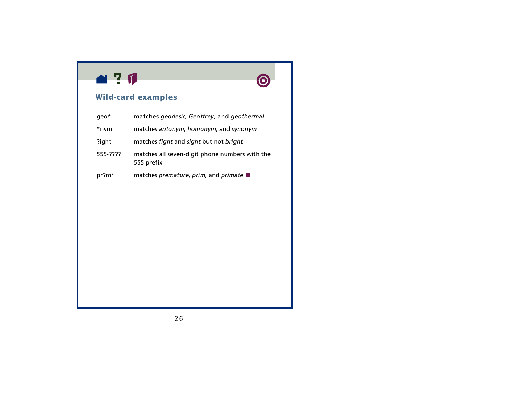



### **Wild-card examples**

| $q$ eo $*$ | matches geodesic, Geoffrey, and geothermal                   |
|------------|--------------------------------------------------------------|
| *nym       | matches antonym, homonym, and synonym                        |
| ?ight      | matches fight and sight but not bright                       |
| 555-????   | matches all seven-digit phone numbers with the<br>555 prefix |
| $pr?m*$    | matches premature, prim, and primate                         |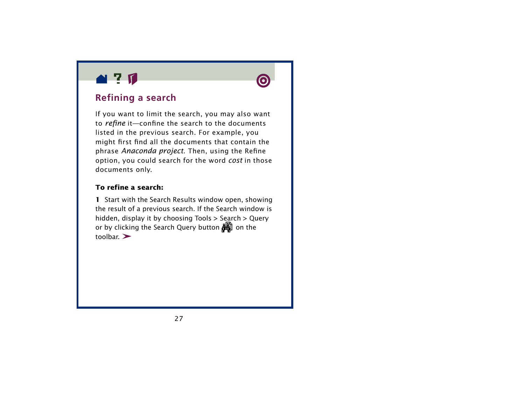<span id="page-26-0"></span>



### **Refining a search**

If you want to limit the search, you may also want to *refine* it—confine the search to the documents listed in the previous search. For example, you might first find all the documents that contain the phrase *Anaconda project*. Then, using the Refine option, you could search for the word *cost* in those documents only.

#### **To refine a search:**

**1** Start with the Search Results window open, showing the result of a previous search. If the Search window is hidden, display it by choosing Tools > Search > Query or by clicking the Search Query button  $\mathbb{H}$  on the  $t$ oolbar $\geq$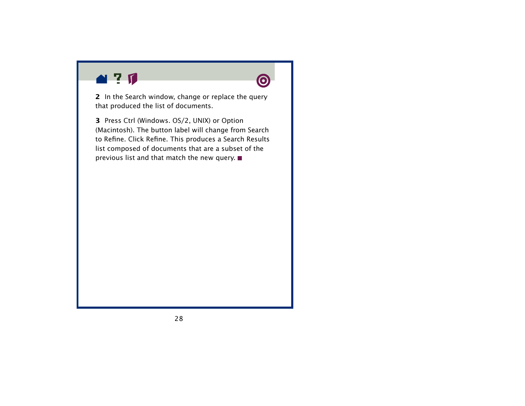

**2** In the Search window, change or replace the query that produced the list of documents.

**3** Press Ctrl (Windows. OS/2, UNIX) or Option (Macintosh). The button label will change from Search to Refine. Click Refine. This produces a Search Results list composed of documents that are a subset of the previous list and that match the new query.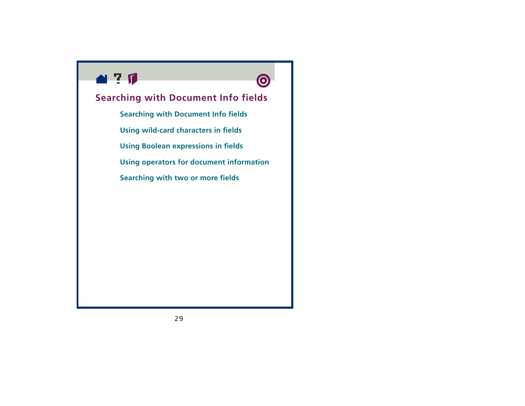<span id="page-28-0"></span>



**[Searching with two or more fields](#page-35-0)**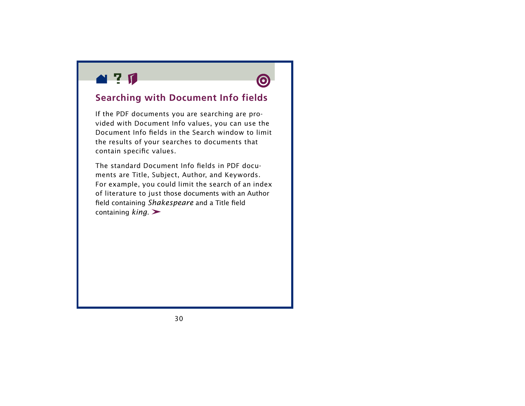<span id="page-29-0"></span>



### **Searching with Document Info fields**

If the PDF documents you are searching are provided with Document Info values, you can use the Document Info fields in the Search window to limit the results of your searches to documents that contain specific values.

The standard Document Info fields in PDF documents are Title, Subject, Author, and Keywords. For example, you could limit the search of an index of literature to just those documents with an Author field containing *Shakespeare* and a Title field containing *king*.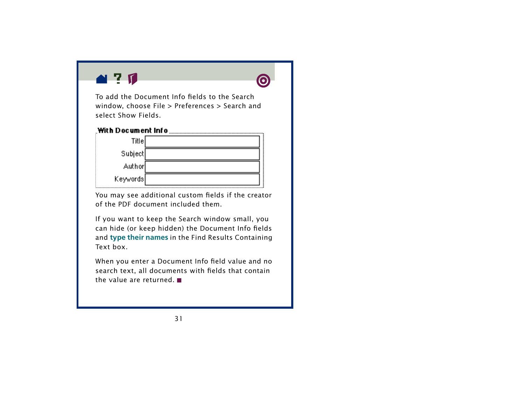





You may see additional custom fields if the creator of the PDF document included them.

If you want to keep the Search window small, you can hide (or keep hidden) the Document Info fields and **[type their names](#page-39-0)** in the Find Results Containing Text box.

When you enter a Document Info field value and no search text, all documents with fields that contain the value are returned.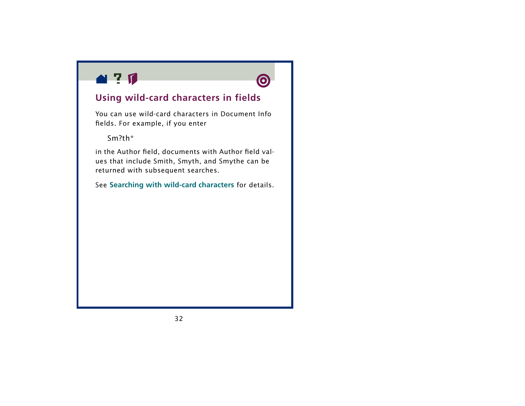<span id="page-31-0"></span>



### **Using wild-card characters in fields**

You can use wild-card characters in Document Info fields. For example, if you enter

Sm?th\*

in the Author field, documents with Author field values that include Smith, Smyth, and Smythe can be returned with subsequent searches.

See **[Searching with wild-card characters](#page-24-0)** for details.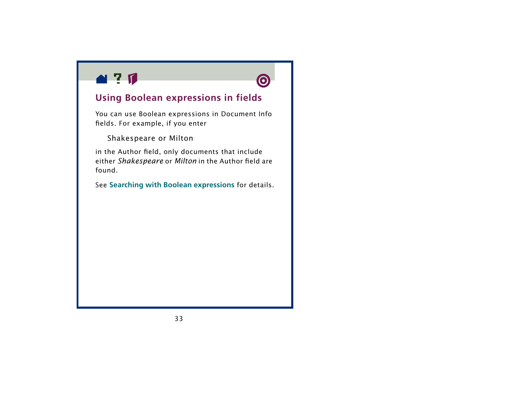<span id="page-32-0"></span>



### **Using Boolean expressions in fields**

You can use Boolean expressions in Document Info fields. For example, if you enter

Shakespeare or Milton

in the Author field, only documents that include either *Shakespeare* or *Milton* in the Author field are found.

See **[Searching with Boolean expressions](#page-54-0)** for details.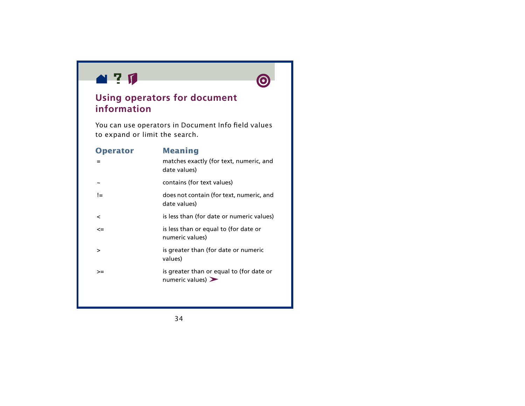<span id="page-33-0"></span>



### **Using operators for document information**

You can use operators in Document Info field values to expand or limit the search.

| <b>Operator</b>          | <b>Meaning</b><br>matches exactly (for text, numeric, and<br>date values)         |
|--------------------------|-----------------------------------------------------------------------------------|
|                          | contains (for text values)                                                        |
| !=                       | does not contain (for text, numeric, and<br>date values)                          |
| $\overline{\phantom{a}}$ | is less than (for date or numeric values)                                         |
| $\leq$                   | is less than or equal to (for date or<br>numeric values)                          |
| >                        | is greater than (for date or numeric<br>values)                                   |
| >=                       | is greater than or equal to (for date or<br>numeric values) $\blacktriangleright$ |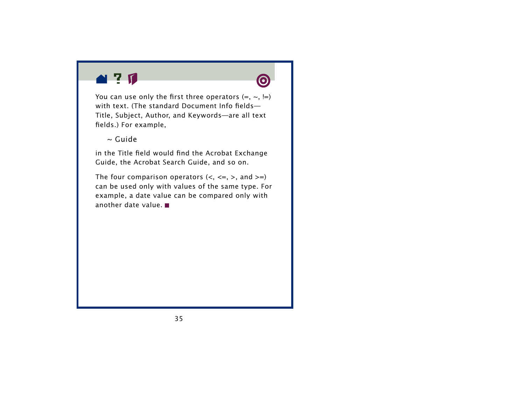



You can use only the first three operators  $(=, \sim, \equiv)$ with text. (The standard Document Info fields— Title, Subject, Author, and Keywords—are all text fields.) For example,

~ Guide

in the Title field would find the Acrobat Exchange Guide, the Acrobat Search Guide, and so on.

The four comparison operators  $(<, <=, >,$  and  $>=$ ) can be used only with values of the same type. For example, a date value can be compared only with another date value.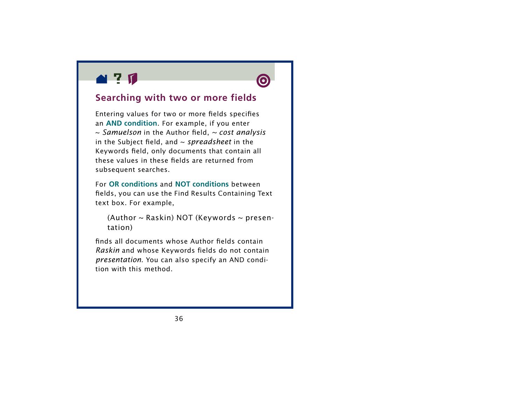<span id="page-35-0"></span>

### **Searching with two or more fields**

Entering values for two or more fields specifies an **[AND condition](#page-55-0)**. For example, if you enter <sup>~</sup>*Samuelson* in the Author field, *~ cost analysis*  in the Subject field, and ~ *spreadsheet* in the Keywords field, only documents that contain all these values in these fields are returned from subsequent searches.

For **[OR conditions](#page-56-0)** and **[NOT conditions](#page-57-0)** between fields, you can use the Find Results Containing Text text box. For example,

(Author  $\sim$  Raskin) NOT (Keywords  $\sim$  presentation)

finds all documents whose Author fields contain *Raskin* and whose Keywords fields do not contain *presentation*. You can also specify an AND condition with this method.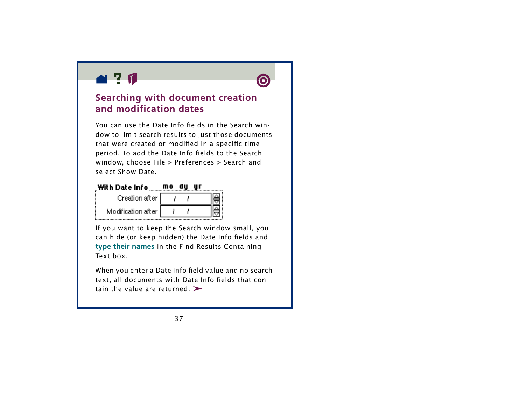<span id="page-36-0"></span>



### **Searching with document creation and modification dates**

You can use the Date Info fields in the Search window to limit search results to just those documents that were created or modified in a specific time period. To add the Date Info fields to the Search window, choose File > Preferences > Search and select Show Date.



If you want to keep the Search window small, you can hide (or keep hidden) the Date Info fields and **[type their names](#page-39-0)** in the Find Results Containing Text box.

When you enter a Date Info field value and no search text, all documents with Date Info fields that contain the value are returned.  $\blacktriangleright$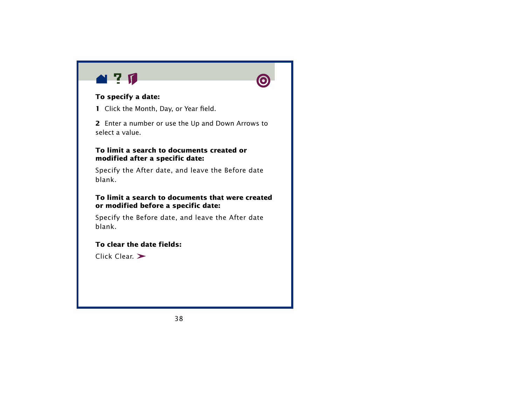



#### **To specify a date:**

- **1** Click the Month, Day, or Year field.
- **2** Enter a number or use the Up and Down Arrows to select a value.

#### **To limit a search to documents created or modified after a specific date:**

Specify the After date, and leave the Before date blank.

#### **To limit a search to documents that were created or modified before a specific date:**

Specify the Before date, and leave the After date blank.

#### **To clear the date fields:**

Click Clear.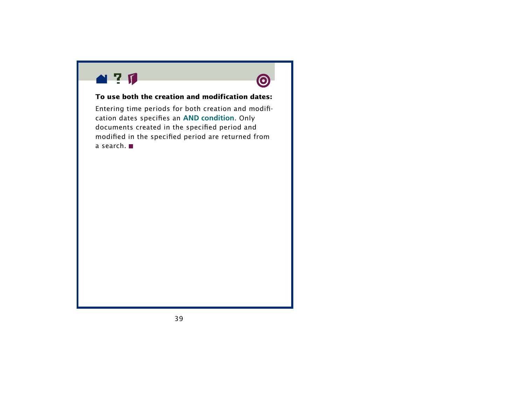



#### **To use both the creation and modification dates:**

Entering time periods for both creation and modification dates specifies an **[AND condition](#page-55-0)**. Only documents created in the specified period and modified in the specified period are returned from a search.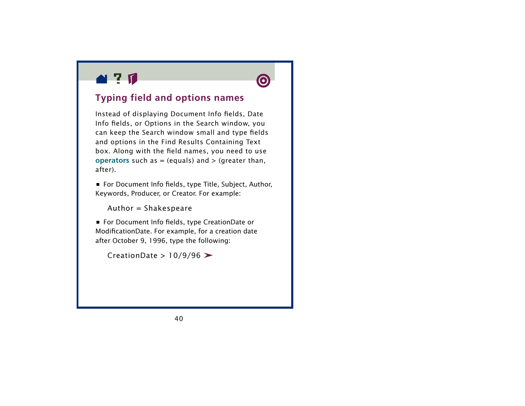<span id="page-39-0"></span>



## **Typing field and options names**

Instead of displaying Document Info fields, Date Info fields, or Options in the Search window, you can keep the Search window small and type fields and options in the Find Results Containing Text box. Along with the field names, you need to use **[operators](#page-33-0)** such as  $=$  (equals) and  $>$  (greater than, after).

**•** For Document Info fields, type Title, Subject, Author, Keywords, Producer, or Creator. For example:

Author = Shakespeare

**•** For Document Info fields, type CreationDate or ModificationDate. For example, for a creation date after October 9, 1996, type the following:

CreationDate >  $10/9/96$  >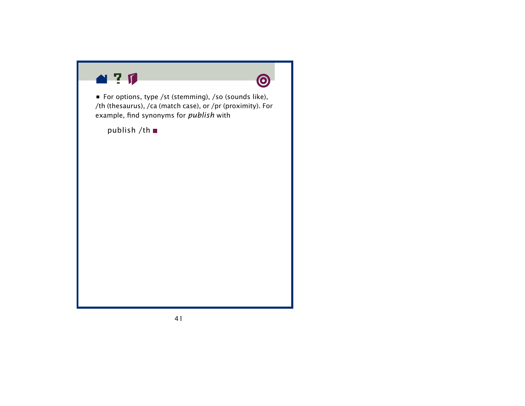



**•** For options, type /st (stemming), /so (sounds like), /th (thesaurus), /ca (match case), or /pr (proximity). For example, find synonyms for *publish* with

publish /th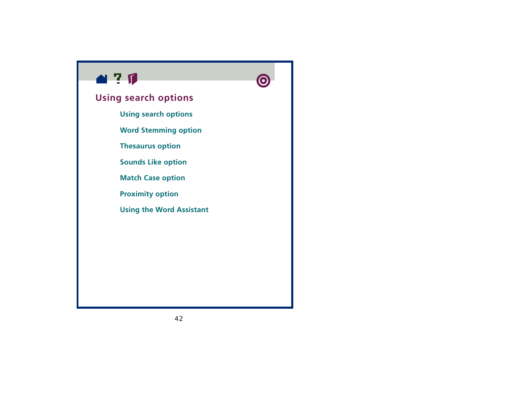<span id="page-41-0"></span>



### **Using search options**

- **[Using search options](#page-42-0)**
- **[Word Stemming option](#page-44-0)**
- **[Thesaurus option](#page-46-0)**
- **[Sounds Like option](#page-47-0)**
- **[Match Case option](#page-49-0)**
- **[Proximity option](#page-50-0)**
- **[Using the Word Assistant](#page-51-0)**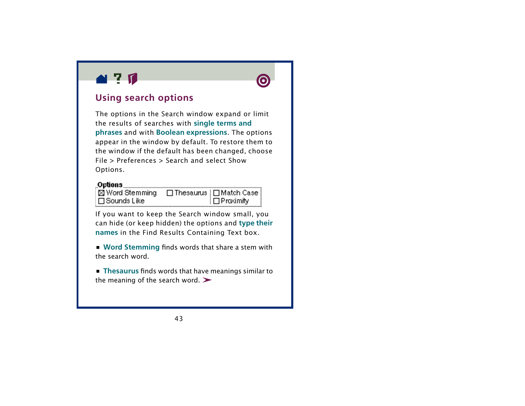<span id="page-42-0"></span>



### **Using search options**

The options in the Search window expand or limit the results of searches with **[single terms and](#page-15-0)  [phrases](#page-15-0)** and with **[Boolean expressions](#page-54-0)**. The options appear in the window by default. To restore them to the window if the default has been changed, choose File > Preferences > Search and select Show Options.

### 

**x** Word Stemming □ Thesaurus | □ Match Case ∃ Sounds Like ∏ Proximity

If you want to keep the Search window small, you can hide (or keep hidden) the options and **[type their](#page-39-0)  [names](#page-39-0)** in the Find Results Containing Text box.

**• [Word Stemming](#page-44-0)** finds words that share a stem with the search word.

**• [Thesaurus](#page-46-0)** finds words that have meanings similar to the meaning of the search word.  $\blacktriangleright$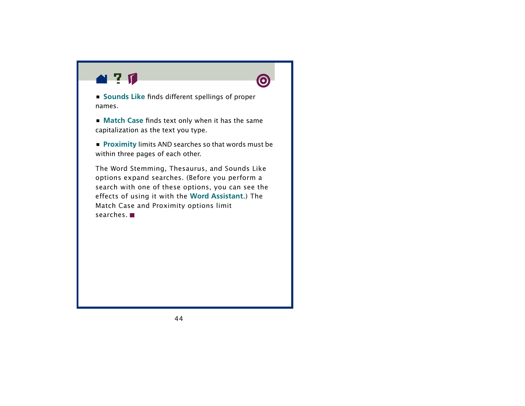

**• [Sounds Like](#page-47-0)** finds different spellings of proper names.

**• [Match Case](#page-49-0)** finds text only when it has the same capitalization as the text you type.

**• [Proximity](#page-50-0)** limits AND searches so that words must be within three pages of each other.

The Word Stemming, Thesaurus, and Sounds Like options expand searches. (Before you perform a search with one of these options, you can see the effects of using it with the **[Word Assistant](#page-51-0)**.) The Match Case and Proximity options limit searches.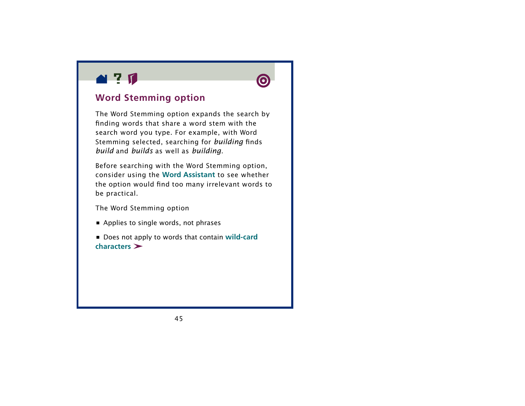<span id="page-44-0"></span>



### **Word Stemming option**

The Word Stemming option expands the search by finding words that share a word stem with the search word you type. For example, with Wor d Stemming selected, searching for *building* finds *build* and *builds* as well as *building*.

Before searching with the Word Stemming option, consider using the **[Word Assistant](#page-51-0)** to see whether the option would find too many irrelevant words to be practical.

The Word Stemming option

**•** Applies to single words, not phrases

**•** Does not apply to words that contain **[wild-card](#page-24-0)  [characters](#page-24-0)**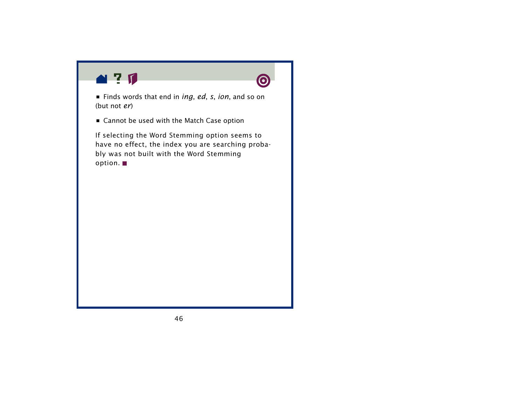



**•** Finds words that end in *ing*, *ed*, *s*, *ion*, and so on (but not *er*)

**•** Cannot be used with the Match Case option

If selecting the Word Stemming option seems to have no effect, the index you are searching probably was not built with the Word Stemming option.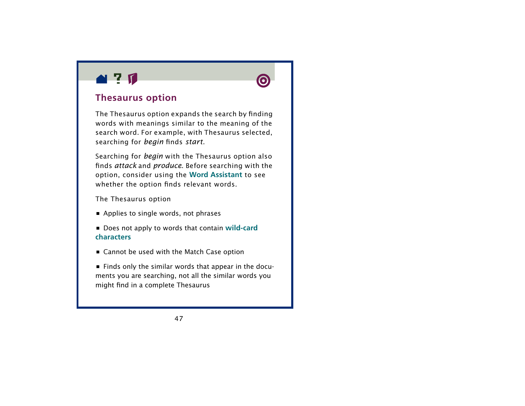<span id="page-46-0"></span>



### **Thesaurus option**

The Thesaurus option expands the search by finding words with meanings similar to the meaning of the search word. For example, with Thesaurus selected, searching for *begin* finds *start*.

Searching for *begin* with the Thesaurus option also finds *attack* and *produce*. Before searching with the option, consider using the **[Word Assistant](#page-51-0)** to see whether the option finds relevant words.

The Thesaurus option

- **•** Applies to single words, not phrases
- Does not apply to words that contain **[wild-car](#page-24-0)d [characters](#page-24-0)**
- **•** Cannot be used with the Match Case option

**•** Finds only the similar words that appear in the documents you are searching, not all the similar words you might find in a complete Thesaurus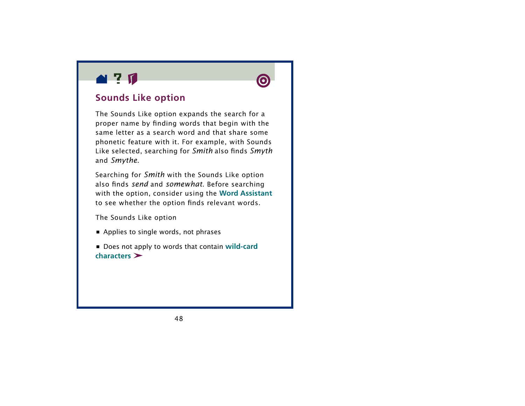<span id="page-47-0"></span>



### **Sounds Like option**

The Sounds Like option expands the search for a proper name by finding words that begin with the same letter as a search word and that share some phonetic feature with it. For example, with Sounds Like selected, searching for *Smith* also finds *Smyth* and *Smythe*.

Searching for *Smith* with the Sounds Like option also finds *send* and *somewhat*. Before searching with the option, consider using the **[Word Assistant](#page-51-0)** to see whether the option finds relevant words.

The Sounds Like option

**•** Applies to single words, not phrases

**•** Does not apply to words that contain **[wild-card](#page-24-0)  [characters](#page-24-0)**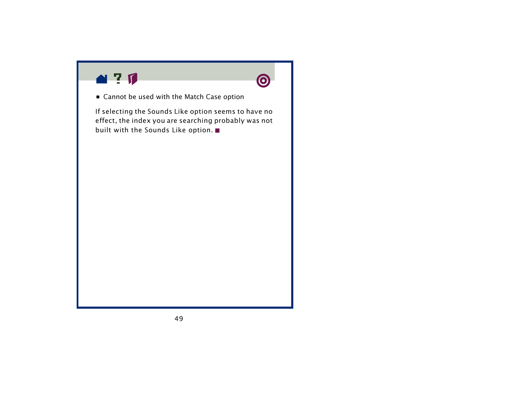



**•** Cannot be used with the Match Case option

If selecting the Sounds Like option seems to have no effect, the index you are searching probably was not built with the Sounds Like option.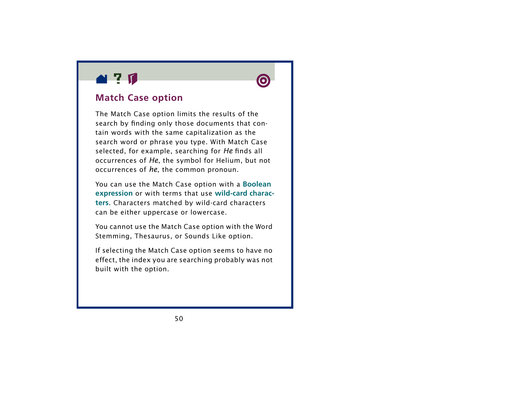<span id="page-49-0"></span>



### **Match Case option**

The Match Case option limits the results of the search by finding only those documents that contain words with the same capitalization as the search word or phrase you type. With Match Case selected, for example, searching for *He* finds all occurrences of *He*, the symbol for Helium, but not occurrences of *he*, the common pronoun.

You can use the Match Case option with a **[Boolean](#page-54-0)  [expression](#page-54-0)** or with terms that use **[wild-card charac](#page-24-0)[ters](#page-24-0)**. Characters matched by wild-card characters can be either uppercase or lowercase.

You cannot use the Match Case option with the Word Stemming, Thesaurus, or Sounds Like option.

If selecting the Match Case option seems to have no effect, the index you are searching probably was not built with the option.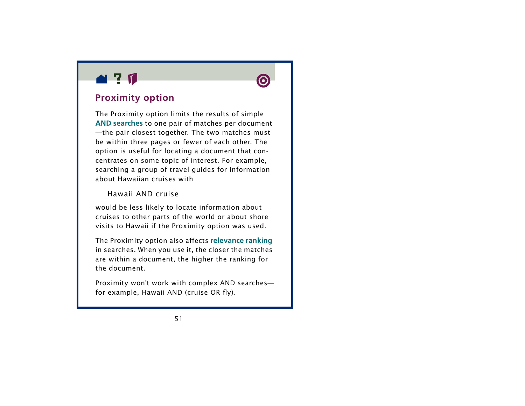<span id="page-50-0"></span>



### **Proximity option**

The Proximity option limits the results of simple **[AND searches](#page-55-0)** to one pair of matches per document —the pair closest together. The two matches must be within three pages or fewer of each other. The option is useful for locating a document that concentrates on some topic of interest. For example, searching a group of travel guides for information about Hawaiian cruises with

#### Hawaii AND cruise

would be less likely to locate information about cruises to other parts of the world or about shore visits to Hawaii if the Proximity option was used.

The Proximity option also affects **[relevance ranking](#page-64-0)** in searches. When you use it, the closer the matches are within a document, the higher the ranking for the document.

Proximity won't work with complex AND searches for example, Hawaii AND (cruise OR fly).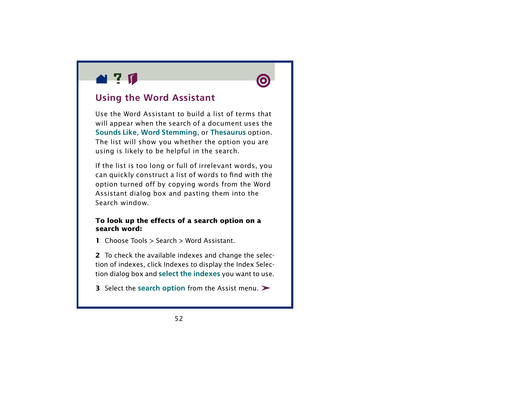<span id="page-51-0"></span>



### **Using the Word Assistant**

Use the Word Assistant to build a list of terms that will appear when the search of a document uses the **[Sounds Like](#page-47-0)**, **[Word Stemming](#page-44-0)**, or **[Thesaurus](#page-46-0)** option. The list will show you whether the option you are using is likely to be helpful in the search.

If the list is too long or full of irrelevant words, you can quickly construct a list of words to find with the option turned off by copying words from the Word Assistant dialog box and pasting them into the Search window.

#### **To look up the effects of a search option on a search word:**

**1** Choose Tools > Search > Word Assistant.

**2** To check the available indexes and change the selection of indexes, click Indexes to display the Index Selection dialog box and **[select the indexes](#page-11-0)** you want to use.

**3** Select the **[search option](#page-41-0)** from the Assist menu.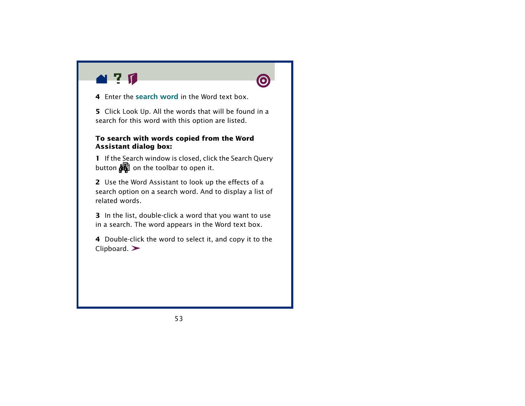![](_page_52_Picture_0.jpeg)

**4** Enter the [search wor](#page-15-0)d in the Word text box.

**5** Click Look Up. All the words that will be found in a search for this word with this option are listed.

#### **To search with words copied from the Word Assistant dialog box:**

**1** If the Search window is closed, click the Search Query button  $\frac{1}{2}$  on the toolbar to open it.

**2** Use the Word Assistant to look up the effects of a search option on a search word. And to display a list of related words.

**3** In the list, double-click a word that you want to use in a search. The word appears in the Word text box.

**4** Double-click the word to select it, and copy it to the  $C$ lipboard.  $\blacktriangleright$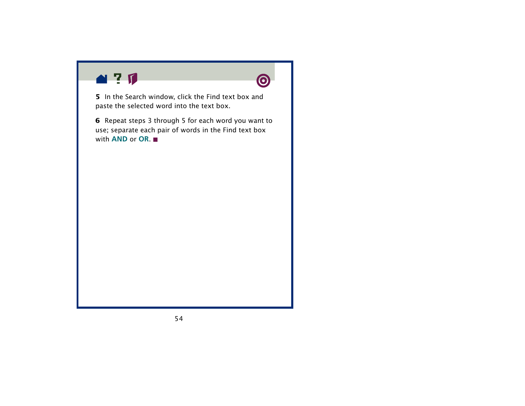![](_page_53_Picture_0.jpeg)

![](_page_53_Picture_1.jpeg)

**5** In the Search window, click the Find text box and paste the selected word into the text box.

**6** Repeat steps 3 through 5 for each word you want to use; separate each pair of words in the Find text box with **[AND](#page-55-0)** or **[OR](#page-56-0)**.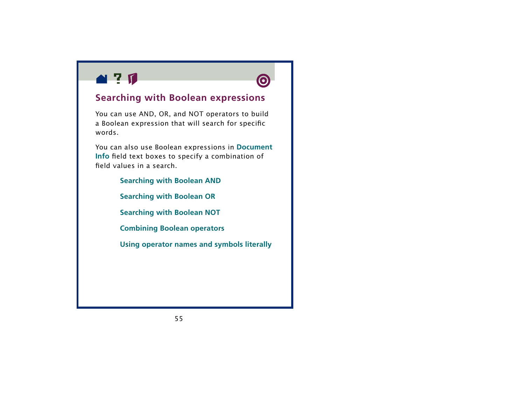<span id="page-54-0"></span>![](_page_54_Picture_0.jpeg)

![](_page_54_Picture_1.jpeg)

### **Searching with Boolean expressions**

You can use AND, OR, and NOT operators to build a Boolean expression that will search for specific words.

You can also use Boolean expressions in **[Document](#page-28-0)  [Info](#page-28-0)** field text boxes to specify a combination of field values in a search.

> **[Searching with Boolean AND](#page-55-0) [Searching with Boolean OR](#page-56-0) [Searching with Boolean NOT](#page-57-0) [Combining Boolean operators](#page-58-0) [Using operator names and symbols literally](#page-60-0)**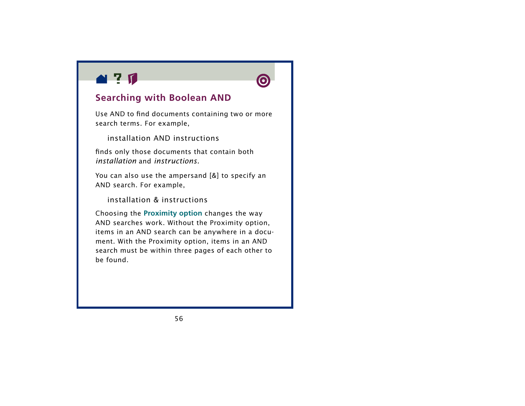<span id="page-55-0"></span>![](_page_55_Picture_0.jpeg)

![](_page_55_Picture_1.jpeg)

### **Searching with Boolean AND**

Use AND to find documents containing two or more search terms. For example,

installation AND instructions

finds only those documents that contain both *installation* and *instructions.*

You can also use the ampersand [&] to specify an AND search. For example,

installation & instructions

Choosing the **[Proximity option](#page-50-0)** changes the way AND searches work. Without the Proximity option, items in an AND search can be anywhere in a document. With the Proximity option, items in an AND search must be within three pages of each other to be found.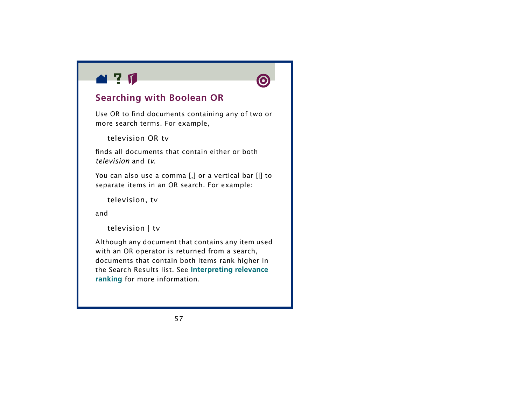<span id="page-56-0"></span>![](_page_56_Picture_0.jpeg)

![](_page_56_Picture_1.jpeg)

### **Searching with Boolean OR**

Use OR to find documents containing any of two or more search terms. For example,

television OR tv

finds all documents that contain either or both *television* and *tv*.

You can also use a comma [,] or a vertical bar [|] to separate items in an OR search. For example:

television, tv

and

television | tv

Although any document that contains any item used with an OR operator is returned from a search, documents that contain both items rank higher in the Search Results list. See **[Interpreting relevance](#page-64-0)  [ranking](#page-64-0)** for more information.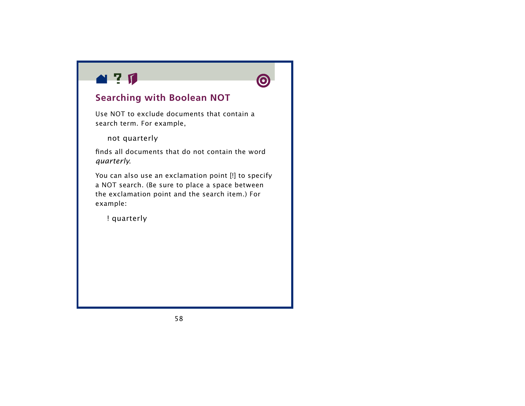<span id="page-57-0"></span>![](_page_57_Picture_0.jpeg)

![](_page_57_Picture_1.jpeg)

### **Searching with Boolean NOT**

Use NOT to exclude documents that contain a search term. For example,

not quarterly

finds all documents that do not contain the word *quarterly*.

You can also use an exclamation point [!] to specify a NOT search. (Be sure to place a space between the exclamation point and the search item.) For example:

! quarterly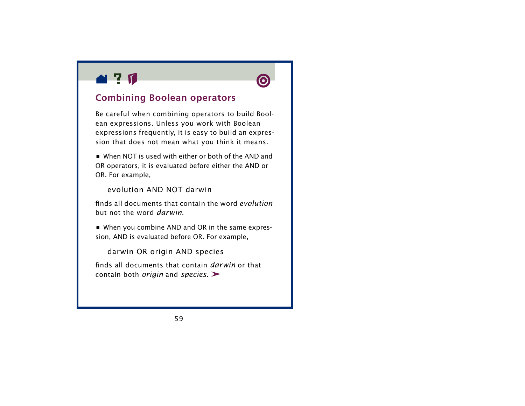<span id="page-58-0"></span>![](_page_58_Picture_0.jpeg)

![](_page_58_Picture_1.jpeg)

### **Combining Boolean operators**

Be careful when combining operators to build Boolean expressions. Unless you work with Boolean expressions frequently, it is easy to build an expression that does not mean what you think it means.

**•** When NOT is used with either or both of the AND and OR operators, it is evaluated before either the AND or OR. For example,

evolution AND NOT darwin

finds all documents that contain the word *evolution* but not the word *darwin*.

**•** When you combine AND and OR in the same expression, AND is evaluated before OR. For example,

darwin OR origin AND species

finds all documents that contain *darwin* or that contain both *origin* and *species*.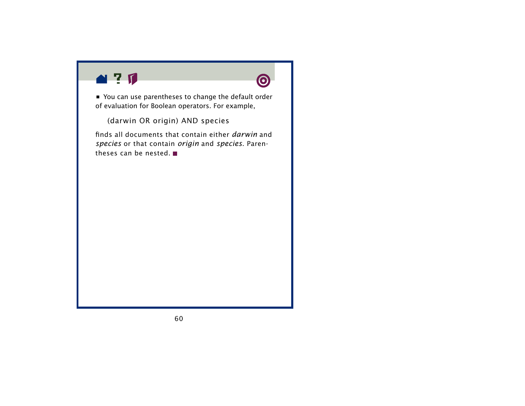![](_page_59_Picture_0.jpeg)

![](_page_59_Picture_1.jpeg)

**•** You can use parentheses to change the default order of evaluation for Boolean operators. For example,

(darwin OR origin) AND species

finds all documents that contain either *darwin* and *species* or that contain *origin* and *species*. Parentheses can be nested.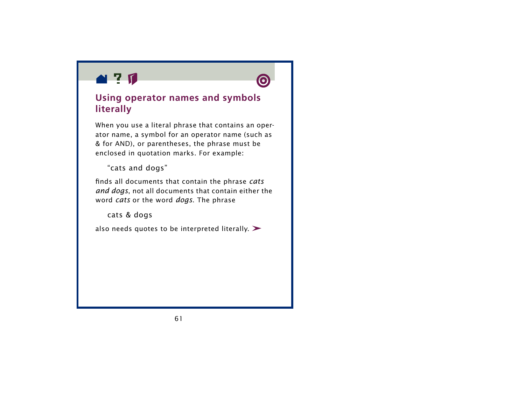<span id="page-60-0"></span>![](_page_60_Picture_0.jpeg)

![](_page_60_Picture_1.jpeg)

### **Using operator names and symbols literally**

When you use a literal phrase that contains an operator name, a symbol for an operator name (such as & for AND), or parentheses, the phrase must be enclosed in quotation marks. For example:

"cats and dogs"

finds all documents that contain the phrase *cats and dogs*, not all documents that contain either the word *cats* or the word *dogs*. The phrase

cats & dogs

also needs quotes to be interpreted literally.  $\blacktriangleright$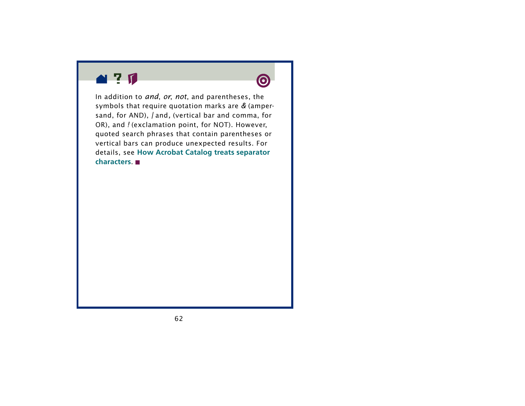![](_page_61_Picture_0.jpeg)

![](_page_61_Picture_1.jpeg)

In addition to *and*, *or*, *not*, and parentheses, the symbols that require quotation marks are *&* (ampersand, for AND), *|* and*,* (vertical bar and comma, for OR), and *!* (exclamation point, for NOT). However, quoted search phrases that contain parentheses or vertical bars can produce unexpected results. For details, see **[How Acrobat Catalog treats separator](#page-19-0)  [characters](#page-19-0)**.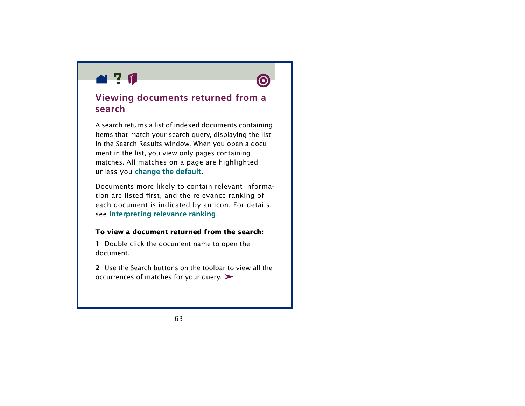<span id="page-62-0"></span>![](_page_62_Picture_0.jpeg)

![](_page_62_Picture_1.jpeg)

### **Viewing documents returned from a search**

A search returns a list of indexed documents containing items that match your search query, displaying the list in the Search Results window. When you open a document in the list, you view only pages containing matches. All matches on a page are highlighted unless you **[change the default](#page-9-0)**.

Documents more likely to contain relevant information are listed first, and the relevance ranking of each document is indicated by an icon. For details, see **[Interpreting relevance ranking](#page-64-0)**.

#### **To view a document returned from the search:**

**1** Double-click the document name to open the document.

**2** Use the Search buttons on the toolbar to view all the occurrences of matches for your query.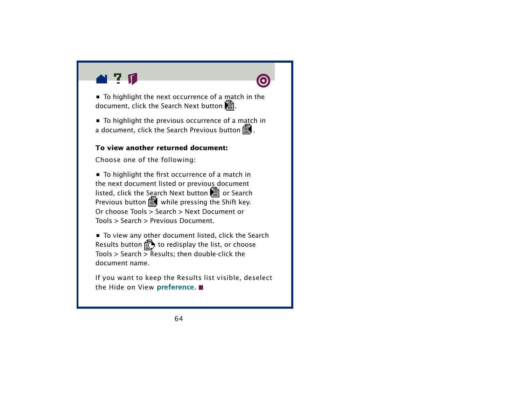<span id="page-63-0"></span>![](_page_63_Picture_0.jpeg)

![](_page_63_Picture_1.jpeg)

**•** To highlight the previous occurrence of a match in a document, click the Search Previous button  $\bar{\Xi}$  .

#### **To view another returned document:**

Choose one of the following:

**•** To highlight the first occurrence of a match in the next document listed or previous document listed, click the Search Next button  $\overline{\trianglelefteq}$  or Search Previous button  $\mathbf{R}$  while pressing the Shift key. Or choose Tools > Search > Next Document or Tools > Search > Previous Document.

**•** To view any other document listed, click the Search Results button  $\mathbb{E}$  to redisplay the list, or choose Tools > Search > Results; then double-click the document name.

If you want to keep the Results list visible, deselect the Hide on View **[preference](#page-9-0)**.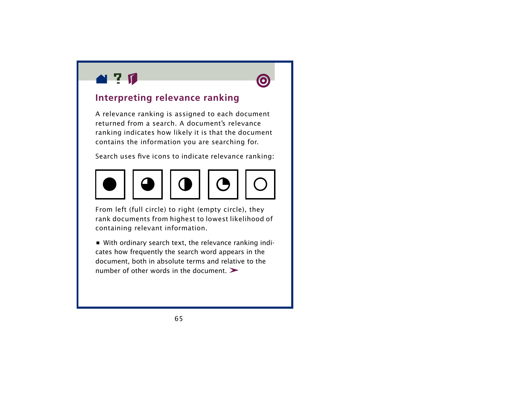<span id="page-64-0"></span>![](_page_64_Picture_0.jpeg)

![](_page_64_Picture_1.jpeg)

### **Interpreting relevance ranking**

A relevance ranking is assigned to each document returned from a search. A document's relevance ranking indicates how likely it is that the document contains the information you are searching for.

Search uses five icons to indicate relevance ranking:

![](_page_64_Picture_5.jpeg)

From left (full circle) to right (empty circle), they rank documents from highest to lowest likelihood of containing relevant information.

**•** With ordinary search text, the relevance ranking indicates how frequently the search word appears in the document, both in absolute terms and relative to the number of other words in the document.  $\blacktriangleright$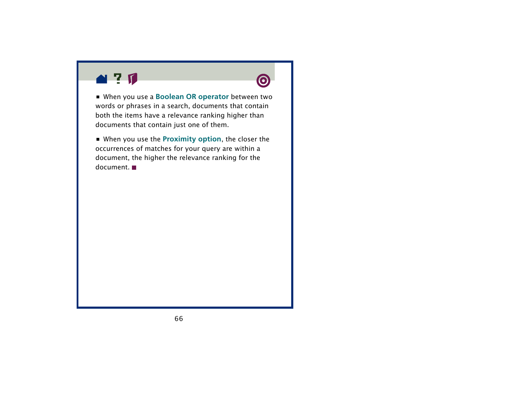![](_page_65_Picture_0.jpeg)

![](_page_65_Picture_1.jpeg)

**•** When you use a **[Boolean OR operator](#page-56-0)** between two words or phrases in a search, documents that contain both the items have a relevance ranking higher than documents that contain just one of them.

**•** When you use the **[Proximity option](#page-50-0)**, the closer the occurrences of matches for your query are within a document, the higher the relevance ranking for the document.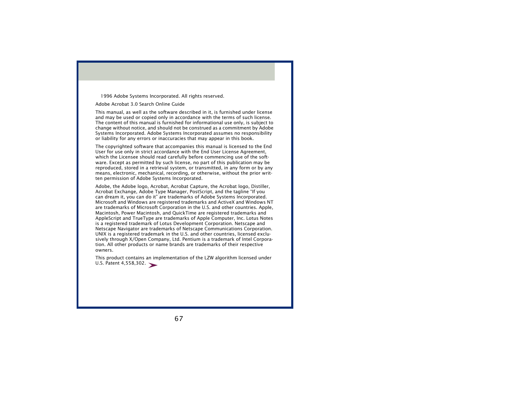1996 Adobe Systems Incorporated. All rights reserved.

#### Adobe Acrobat 3.0 Search Online Guide

This manual, as well as the software described in it, is furnished under license and may be used or copied only in accordance with the terms of such license. The content of this manual is furnished for informational use only, is subject to change without notice, and should not be construed as a commitment by Adobe Systems Incorporated. Adobe Systems Incorporated assumes no responsibility or liability for any errors or inaccuracies that may appear in this book.

The copyrighted software that accompanies this manual is licensed to the End User for use only in strict accordance with the End User License Agreement, which the Licensee should read carefully before commencing use of the software. Except as permitted by such license, no part of this publication may be reproduced, stored in a retrieval system, or transmitted, in any form or by any means, electronic, mechanical, recording, or otherwise, without the prior written permission of Adobe Systems Incorporated.

Adobe, the Adobe logo, Acrobat, Acrobat Capture, the Acrobat logo, Distiller, Acrobat Exchange, Adobe Type Manager, PostScript, and the tagline "If you can dream it, you can do it" are trademarks of Adobe Systems Incorporated. Microsoft and Windows are registered trademarks and ActiveX and Windows NT are trademarks of Microsoft Corporation in the U.S. and other countries. Apple, Macintosh, Power Macintosh, and QuickTime are registered trademarks and AppleScript and TrueType are trademarks of Apple Computer, Inc. Lotus Notes is a registered trademark of Lotus Development Corporation. Netscape and Netscape Navigator are trademarks of Netscape Communications Corporation. UNIX is a registered trademark in the U.S. and other countries, licensed exclusively through X/Open Company, Ltd. Pentium is a trademark of Intel Corporation. All other products or name brands are trademarks of their respective owners.

This product contains an implementation of the LZW algorithm licensed under U.S. Patent 4,558,302.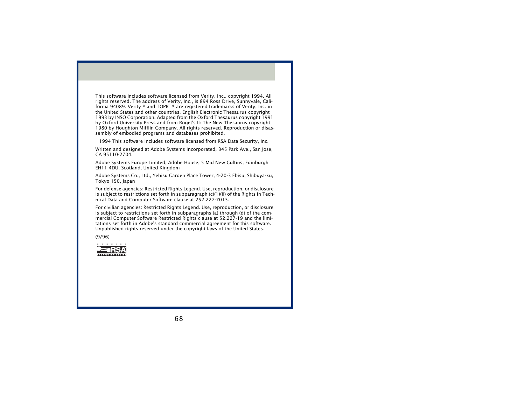This software includes software licensed from Verity, Inc., copyright 1994. All rights reserved. The address of Verity, Inc., is 894 Ross Drive, Sunnyvale, California 94089. Verity ® and TOPIC ® are registered trademarks of Verity, Inc. in the United States and other countries. English Electronic Thesaurus copyright 1993 by INSO Corporation. Adapted from the Oxford Thesaurus copyright 1991 by Oxford University Press and from Roget's II: The New Thesaurus copyright 1980 by Houghton Mifflin Company. All rights reserved. Reproduction or disassembly of embodied programs and databases prohibited.

1994 This software includes software licensed from RSA Data Security, Inc.

Written and designed at Adobe Systems Incorporated, 345 Park Ave., San Jose, CA 95110-2704.

Adobe Systems Europe Limited, Adobe House, 5 Mid New Cultins, Edinburgh EH11 4DU, Scotland, United Kingdom

Adobe Systems Co., Ltd., Yebisu Garden Place Tower, 4-20-3 Ebisu, Shibuya-ku, Tokyo 150, Japan

For defense agencies: Restricted Rights Legend. Use, reproduction, or disclosure is subject to restrictions set forth in subparagraph  $(c)(1)(ii)$  of the Rights in Technical Data and Computer Software clause at 252.227-7013.

For civilian agencies: Restricted Rights Legend. Use, reproduction, or disclosure is subject to restrictions set forth in subparagraphs (a) through (d) of the commercial Computer Software Restricted Rights clause at 52.227-19 and the limitations set forth in Adobe's standard commercial agreement for this software. Unpublished rights reserved under the copyright laws of the United States.

(9/96)

![](_page_67_Picture_8.jpeg)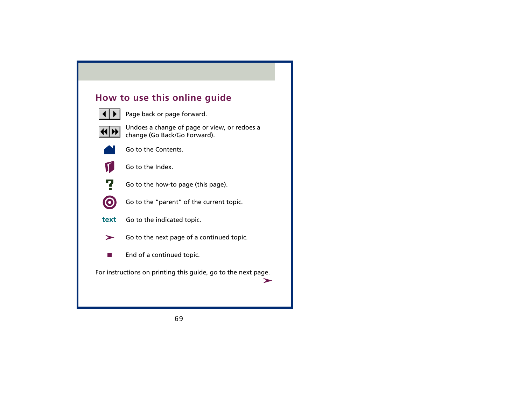### **How to use this online guide**

![](_page_68_Picture_1.jpeg)

Page back or page forward.

![](_page_68_Picture_3.jpeg)

 Undoes a change of page or view, or redoes a change (Go Back/Go Forward).

![](_page_68_Picture_5.jpeg)

Go to the Contents.

![](_page_68_Picture_7.jpeg)

Go to the Index.

![](_page_68_Picture_9.jpeg)

Go to the how-to page (this page).

![](_page_68_Picture_11.jpeg)

Go to the "parent" of the current topic.

- Go to the indicated topic. **text**
	- Go to the next page of a continued topic.  $\blacktriangleright$ 
		- End of a continued topic.

For instructions on printing this guide, go to the next page.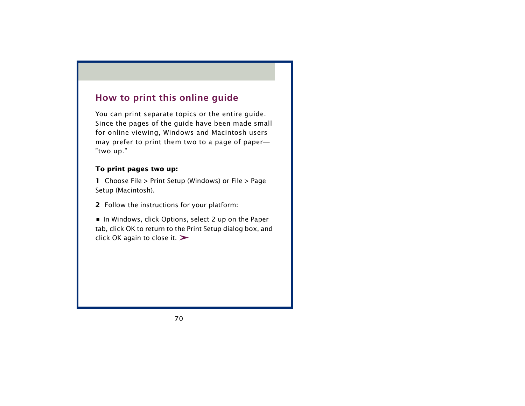### **How to print this online guide**

You can print separate topics or the entire guide. Since the pages of the guide have been made small for online viewing, Windows and Macintosh users may prefer to print them two to a page of paper— "two up."

#### **To print pages two up:**

**1** Choose File > Print Setup (Windows) or File > Page Setup (Macintosh).

**2** Follow the instructions for your platform:

**•** In Windows, click Options, select 2 up on the Paper tab, click OK to return to the Print Setup dialog box, and click OK again to close it.  $\blacktriangleright$